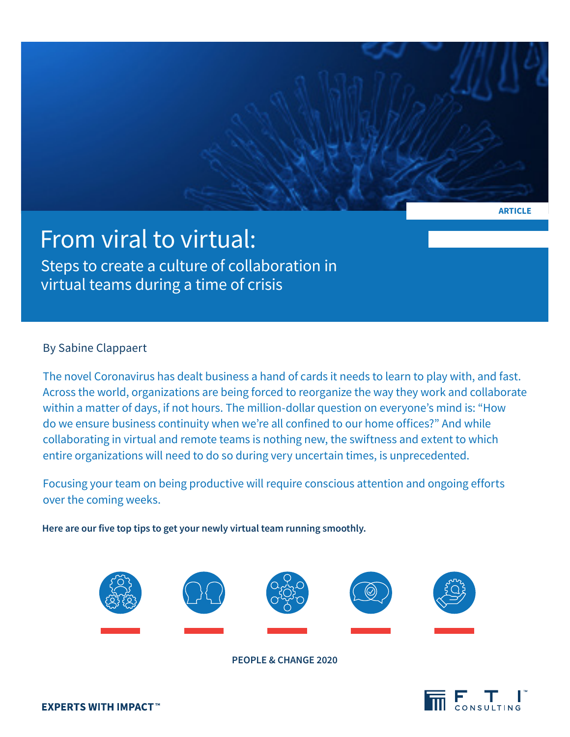

# From viral to virtual:

Steps to create a culture of collaboration in virtual teams during a time of crisis

### By Sabine Clappaert

The novel Coronavirus has dealt business a hand of cards it needs to learn to play with, and fast. Across the world, organizations are being forced to reorganize the way they work and collaborate within a matter of days, if not hours. The million-dollar question on everyone's mind is: "How do we ensure business continuity when we're all confined to our home offices?" And while collaborating in virtual and remote teams is nothing new, the swiftness and extent to which entire organizations will need to do so during very uncertain times, is unprecedented.

Focusing your team on being productive will require conscious attention and ongoing efforts over the coming weeks.

**Here are our five top tips to get your newly virtual team running smoothly.**



**PEOPLE & CHANGE 2020**

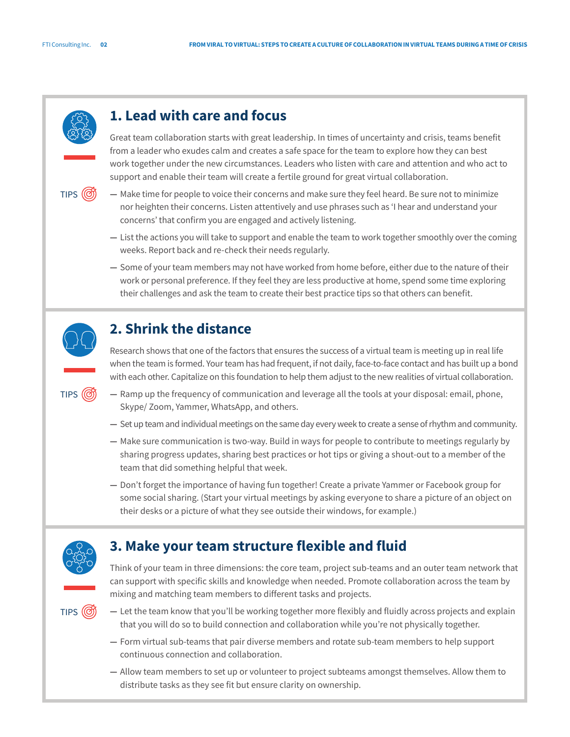

## **1. Lead with care and focus**

Great team collaboration starts with great leadership. In times of uncertainty and crisis, teams benefit from a leader who exudes calm and creates a safe space for the team to explore how they can best work together under the new circumstances. Leaders who listen with care and attention and who act to support and enable their team will create a fertile ground for great virtual collaboration.



**—** Make time for people to voice their concerns and make sure they feel heard. Be sure not to minimize nor heighten their concerns. Listen attentively and use phrases such as 'I hear and understand your concerns' that confirm you are engaged and actively listening.

**—** List the actions you will take to support and enable the team to work together smoothly over the coming weeks. Report back and re-check their needs regularly.

**—** Some of your team members may not have worked from home before, either due to the nature of their work or personal preference. If they feel they are less productive at home, spend some time exploring their challenges and ask the team to create their best practice tips so that others can benefit.



## **2. Shrink the distance**

Research shows that one of the factors that ensures the success of a virtual team is meeting up in real life when the team is formed. Your team has had frequent, if not daily, face-to-face contact and has built up a bond with each other. Capitalize on this foundation to help them adjust to the new realities of virtual collaboration.



- **—** Ramp up the frequency of communication and leverage all the tools at your disposal: email, phone, Skype/ Zoom, Yammer, WhatsApp, and others.
- **—** Set up team and individual meetings on the same day every week to create a sense of rhythm and community.
- **—** Make sure communication is two-way. Build in ways for people to contribute to meetings regularly by sharing progress updates, sharing best practices or hot tips or giving a shout-out to a member of the team that did something helpful that week.
- **—** Don't forget the importance of having fun together! Create a private Yammer or Facebook group for some social sharing. (Start your virtual meetings by asking everyone to share a picture of an object on their desks or a picture of what they see outside their windows, for example.)



# **3. Make your team structure flexible and fluid**

Think of your team in three dimensions: the core team, project sub-teams and an outer team network that can support with specific skills and knowledge when needed. Promote collaboration across the team by mixing and matching team members to different tasks and projects.



- **—** Let the team know that you'll be working together more flexibly and fluidly across projects and explain that you will do so to build connection and collaboration while you're not physically together.
- **—** Form virtual sub-teams that pair diverse members and rotate sub-team members to help support continuous connection and collaboration.
- **—** Allow team members to set up or volunteer to project subteams amongst themselves. Allow them to distribute tasks as they see fit but ensure clarity on ownership.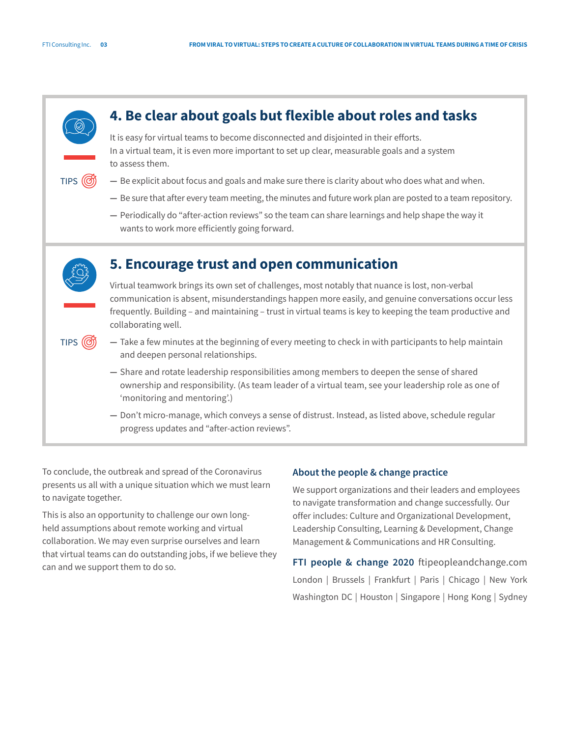

To conclude, the outbreak and spread of the Coronavirus presents us all with a unique situation which we must learn to navigate together.

This is also an opportunity to challenge our own longheld assumptions about remote working and virtual collaboration. We may even surprise ourselves and learn that virtual teams can do outstanding jobs, if we believe they can and we support them to do so.

### **About the people & change practice**

We support organizations and their leaders and employees to navigate transformation and change successfully. Our offer includes: Culture and Organizational Development, Leadership Consulting, Learning & Development, Change Management & Communications and HR Consulting.

**FTI people & change 2020** ftipeopleandchange.com London | Brussels | Frankfurt | Paris | Chicago | New York Washington DC | Houston | Singapore | Hong Kong | Sydney